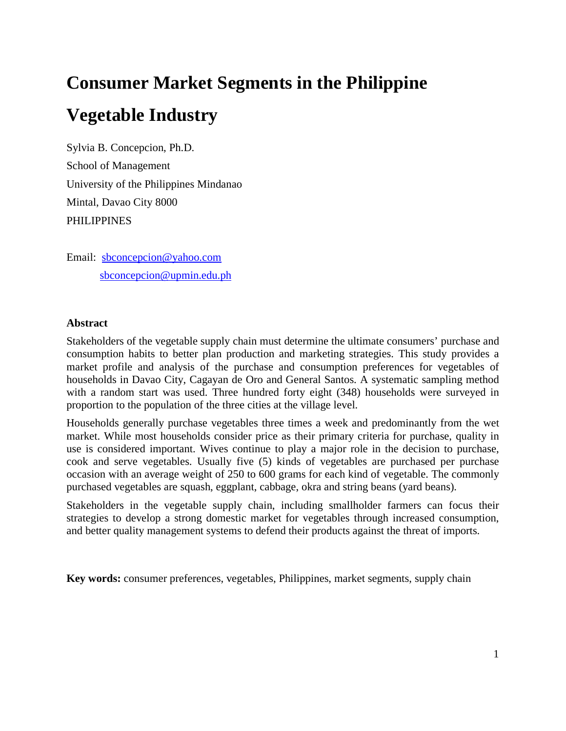# **Consumer Market Segments in the Philippine Vegetable Industry**

Sylvia B. Concepcion, Ph.D. School of Management University of the Philippines Mindanao Mintal, Davao City 8000 PHILIPPINES

Email: sbconcepcion@yahoo.com sbconcepcion@upmin.edu.ph

## **Abstract**

Stakeholders of the vegetable supply chain must determine the ultimate consumers' purchase and consumption habits to better plan production and marketing strategies. This study provides a market profile and analysis of the purchase and consumption preferences for vegetables of households in Davao City, Cagayan de Oro and General Santos. A systematic sampling method with a random start was used. Three hundred forty eight (348) households were surveyed in proportion to the population of the three cities at the village level.

Households generally purchase vegetables three times a week and predominantly from the wet market. While most households consider price as their primary criteria for purchase, quality in use is considered important. Wives continue to play a major role in the decision to purchase, cook and serve vegetables. Usually five (5) kinds of vegetables are purchased per purchase occasion with an average weight of 250 to 600 grams for each kind of vegetable. The commonly purchased vegetables are squash, eggplant, cabbage, okra and string beans (yard beans).

Stakeholders in the vegetable supply chain, including smallholder farmers can focus their strategies to develop a strong domestic market for vegetables through increased consumption, and better quality management systems to defend their products against the threat of imports.

**Key words:** consumer preferences, vegetables, Philippines, market segments, supply chain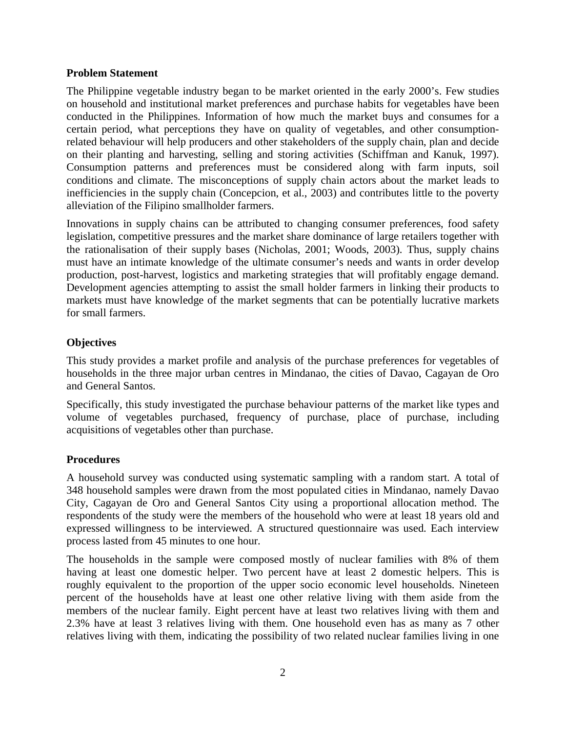#### **Problem Statement**

The Philippine vegetable industry began to be market oriented in the early 2000's. Few studies on household and institutional market preferences and purchase habits for vegetables have been conducted in the Philippines. Information of how much the market buys and consumes for a certain period, what perceptions they have on quality of vegetables, and other consumptionrelated behaviour will help producers and other stakeholders of the supply chain, plan and decide on their planting and harvesting, selling and storing activities (Schiffman and Kanuk, 1997). Consumption patterns and preferences must be considered along with farm inputs, soil conditions and climate. The misconceptions of supply chain actors about the market leads to inefficiencies in the supply chain (Concepcion, et al., 2003) and contributes little to the poverty alleviation of the Filipino smallholder farmers.

Innovations in supply chains can be attributed to changing consumer preferences, food safety legislation, competitive pressures and the market share dominance of large retailers together with the rationalisation of their supply bases (Nicholas, 2001; Woods, 2003). Thus, supply chains must have an intimate knowledge of the ultimate consumer's needs and wants in order develop production, post-harvest, logistics and marketing strategies that will profitably engage demand. Development agencies attempting to assist the small holder farmers in linking their products to markets must have knowledge of the market segments that can be potentially lucrative markets for small farmers.

# **Objectives**

This study provides a market profile and analysis of the purchase preferences for vegetables of households in the three major urban centres in Mindanao, the cities of Davao, Cagayan de Oro and General Santos.

Specifically, this study investigated the purchase behaviour patterns of the market like types and volume of vegetables purchased, frequency of purchase, place of purchase, including acquisitions of vegetables other than purchase.

### **Procedures**

A household survey was conducted using systematic sampling with a random start. A total of 348 household samples were drawn from the most populated cities in Mindanao, namely Davao City, Cagayan de Oro and General Santos City using a proportional allocation method. The respondents of the study were the members of the household who were at least 18 years old and expressed willingness to be interviewed. A structured questionnaire was used. Each interview process lasted from 45 minutes to one hour.

The households in the sample were composed mostly of nuclear families with 8% of them having at least one domestic helper. Two percent have at least 2 domestic helpers. This is roughly equivalent to the proportion of the upper socio economic level households. Nineteen percent of the households have at least one other relative living with them aside from the members of the nuclear family. Eight percent have at least two relatives living with them and 2.3% have at least 3 relatives living with them. One household even has as many as 7 other relatives living with them, indicating the possibility of two related nuclear families living in one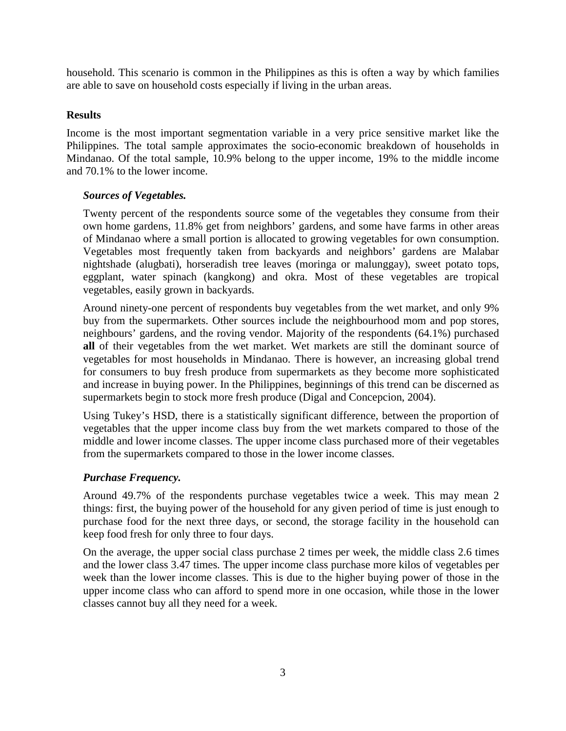household. This scenario is common in the Philippines as this is often a way by which families are able to save on household costs especially if living in the urban areas.

## **Results**

Income is the most important segmentation variable in a very price sensitive market like the Philippines. The total sample approximates the socio-economic breakdown of households in Mindanao. Of the total sample, 10.9% belong to the upper income, 19% to the middle income and 70.1% to the lower income.

# *Sources of Vegetables.*

Twenty percent of the respondents source some of the vegetables they consume from their own home gardens, 11.8% get from neighbors' gardens, and some have farms in other areas of Mindanao where a small portion is allocated to growing vegetables for own consumption. Vegetables most frequently taken from backyards and neighbors' gardens are Malabar nightshade (alugbati), horseradish tree leaves (moringa or malunggay), sweet potato tops, eggplant, water spinach (kangkong) and okra. Most of these vegetables are tropical vegetables, easily grown in backyards.

Around ninety-one percent of respondents buy vegetables from the wet market, and only 9% buy from the supermarkets. Other sources include the neighbourhood mom and pop stores, neighbours' gardens, and the roving vendor. Majority of the respondents (64.1%) purchased **all** of their vegetables from the wet market. Wet markets are still the dominant source of vegetables for most households in Mindanao. There is however, an increasing global trend for consumers to buy fresh produce from supermarkets as they become more sophisticated and increase in buying power. In the Philippines, beginnings of this trend can be discerned as supermarkets begin to stock more fresh produce (Digal and Concepcion, 2004).

Using Tukey's HSD, there is a statistically significant difference, between the proportion of vegetables that the upper income class buy from the wet markets compared to those of the middle and lower income classes. The upper income class purchased more of their vegetables from the supermarkets compared to those in the lower income classes.

# *Purchase Frequency.*

Around 49.7% of the respondents purchase vegetables twice a week. This may mean 2 things: first, the buying power of the household for any given period of time is just enough to purchase food for the next three days, or second, the storage facility in the household can keep food fresh for only three to four days.

On the average, the upper social class purchase 2 times per week, the middle class 2.6 times and the lower class 3.47 times. The upper income class purchase more kilos of vegetables per week than the lower income classes. This is due to the higher buying power of those in the upper income class who can afford to spend more in one occasion, while those in the lower classes cannot buy all they need for a week.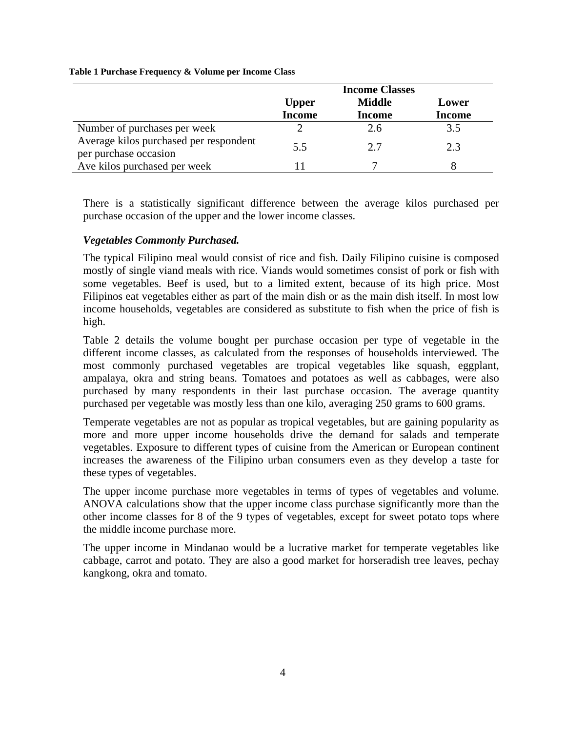|                                                                 |               | <b>Income Classes</b> |               |
|-----------------------------------------------------------------|---------------|-----------------------|---------------|
|                                                                 | <b>Upper</b>  | <b>Middle</b>         | Lower         |
|                                                                 | <b>Income</b> | <b>Income</b>         | <b>Income</b> |
| Number of purchases per week                                    |               | 2.6                   | 3.5           |
| Average kilos purchased per respondent<br>per purchase occasion | 5.5           | 2.7                   | 2.3           |
| Ave kilos purchased per week                                    |               |                       |               |

#### **Table 1 Purchase Frequency & Volume per Income Class**

There is a statistically significant difference between the average kilos purchased per purchase occasion of the upper and the lower income classes.

# *Vegetables Commonly Purchased.*

The typical Filipino meal would consist of rice and fish. Daily Filipino cuisine is composed mostly of single viand meals with rice. Viands would sometimes consist of pork or fish with some vegetables. Beef is used, but to a limited extent, because of its high price. Most Filipinos eat vegetables either as part of the main dish or as the main dish itself. In most low income households, vegetables are considered as substitute to fish when the price of fish is high.

Table 2 details the volume bought per purchase occasion per type of vegetable in the different income classes, as calculated from the responses of households interviewed. The most commonly purchased vegetables are tropical vegetables like squash, eggplant, ampalaya, okra and string beans. Tomatoes and potatoes as well as cabbages, were also purchased by many respondents in their last purchase occasion. The average quantity purchased per vegetable was mostly less than one kilo, averaging 250 grams to 600 grams.

Temperate vegetables are not as popular as tropical vegetables, but are gaining popularity as more and more upper income households drive the demand for salads and temperate vegetables. Exposure to different types of cuisine from the American or European continent increases the awareness of the Filipino urban consumers even as they develop a taste for these types of vegetables.

The upper income purchase more vegetables in terms of types of vegetables and volume. ANOVA calculations show that the upper income class purchase significantly more than the other income classes for 8 of the 9 types of vegetables, except for sweet potato tops where the middle income purchase more.

The upper income in Mindanao would be a lucrative market for temperate vegetables like cabbage, carrot and potato. They are also a good market for horseradish tree leaves, pechay kangkong, okra and tomato.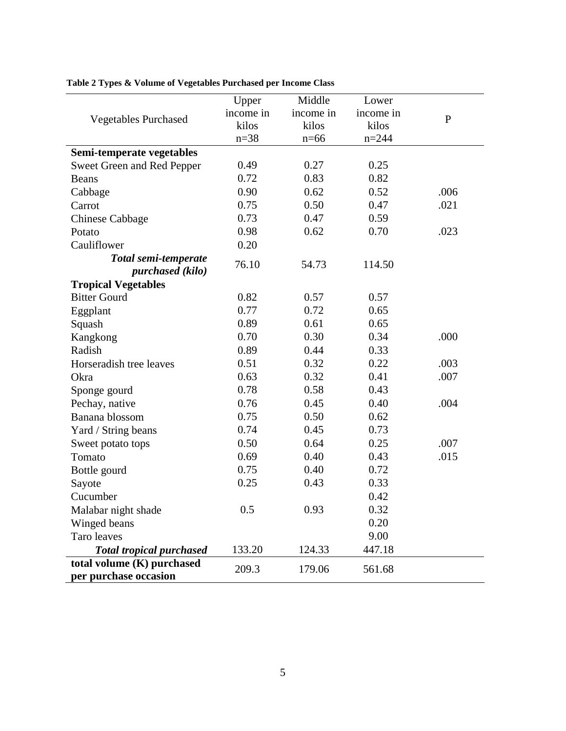|                                 | Upper     | Middle    | Lower     |              |
|---------------------------------|-----------|-----------|-----------|--------------|
| <b>Vegetables Purchased</b>     | income in | income in | income in | $\mathbf{P}$ |
|                                 | kilos     | kilos     | kilos     |              |
|                                 | $n = 38$  | $n=66$    | $n = 244$ |              |
| Semi-temperate vegetables       |           |           |           |              |
| Sweet Green and Red Pepper      | 0.49      | 0.27      | 0.25      |              |
| <b>Beans</b>                    | 0.72      | 0.83      | 0.82      |              |
| Cabbage                         | 0.90      | 0.62      | 0.52      | .006         |
| Carrot                          | 0.75      | 0.50      | 0.47      | .021         |
| <b>Chinese Cabbage</b>          | 0.73      | 0.47      | 0.59      |              |
| Potato                          | 0.98      | 0.62      | 0.70      | .023         |
| Cauliflower                     | 0.20      |           |           |              |
| Total semi-temperate            | 76.10     | 54.73     | 114.50    |              |
| purchased (kilo)                |           |           |           |              |
| <b>Tropical Vegetables</b>      |           |           |           |              |
| <b>Bitter Gourd</b>             | 0.82      | 0.57      | 0.57      |              |
| Eggplant                        | 0.77      | 0.72      | 0.65      |              |
| Squash                          | 0.89      | 0.61      | 0.65      |              |
| Kangkong                        | 0.70      | 0.30      | 0.34      | .000         |
| Radish                          | 0.89      | 0.44      | 0.33      |              |
| Horseradish tree leaves         | 0.51      | 0.32      | 0.22      | .003         |
| Okra                            | 0.63      | 0.32      | 0.41      | .007         |
| Sponge gourd                    | 0.78      | 0.58      | 0.43      |              |
| Pechay, native                  | 0.76      | 0.45      | 0.40      | .004         |
| Banana blossom                  | 0.75      | 0.50      | 0.62      |              |
| Yard / String beans             | 0.74      | 0.45      | 0.73      |              |
| Sweet potato tops               | 0.50      | 0.64      | 0.25      | .007         |
| Tomato                          | 0.69      | 0.40      | 0.43      | .015         |
| Bottle gourd                    | 0.75      | 0.40      | 0.72      |              |
| Sayote                          | 0.25      | 0.43      | 0.33      |              |
| Cucumber                        |           |           | 0.42      |              |
| Malabar night shade             | 0.5       | 0.93      | 0.32      |              |
| Winged beans                    |           |           | 0.20      |              |
| Taro leaves                     |           |           | 9.00      |              |
| <b>Total tropical purchased</b> | 133.20    | 124.33    | 447.18    |              |
| total volume (K) purchased      |           |           |           |              |
| per purchase occasion           | 209.3     | 179.06    | 561.68    |              |

**Table 2 Types & Volume of Vegetables Purchased per Income Class**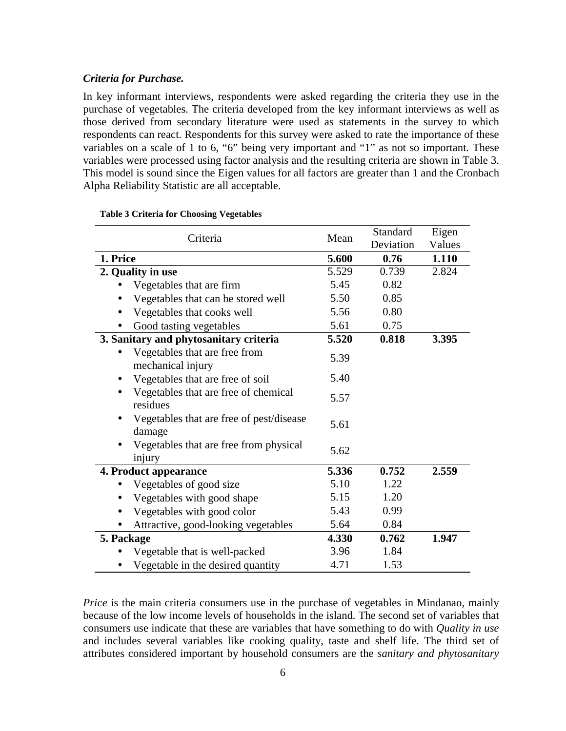#### *Criteria for Purchase.*

In key informant interviews, respondents were asked regarding the criteria they use in the purchase of vegetables. The criteria developed from the key informant interviews as well as those derived from secondary literature were used as statements in the survey to which respondents can react. Respondents for this survey were asked to rate the importance of these variables on a scale of 1 to 6, "6" being very important and "1" as not so important. These variables were processed using factor analysis and the resulting criteria are shown in Table 3. This model is sound since the Eigen values for all factors are greater than 1 and the Cronbach Alpha Reliability Statistic are all acceptable.

| Criteria                                           | Mean  | Standard  | Eigen  |
|----------------------------------------------------|-------|-----------|--------|
|                                                    |       | Deviation | Values |
| 1. Price                                           | 5.600 | 0.76      | 1.110  |
| 2. Quality in use                                  | 5.529 | 0.739     | 2.824  |
| Vegetables that are firm                           | 5.45  | 0.82      |        |
| Vegetables that can be stored well                 | 5.50  | 0.85      |        |
| Vegetables that cooks well                         | 5.56  | 0.80      |        |
| Good tasting vegetables                            | 5.61  | 0.75      |        |
| 3. Sanitary and phytosanitary criteria             | 5.520 | 0.818     | 3.395  |
| Vegetables that are free from                      | 5.39  |           |        |
| mechanical injury                                  |       |           |        |
| Vegetables that are free of soil                   | 5.40  |           |        |
| Vegetables that are free of chemical<br>$\bullet$  | 5.57  |           |        |
| residues                                           |       |           |        |
| Vegetables that are free of pest/disease<br>damage | 5.61  |           |        |
| Vegetables that are free from physical<br>injury   | 5.62  |           |        |
| 4. Product appearance                              | 5.336 | 0.752     | 2.559  |
| Vegetables of good size                            | 5.10  | 1.22      |        |
| Vegetables with good shape                         | 5.15  | 1.20      |        |
| Vegetables with good color                         | 5.43  | 0.99      |        |
| Attractive, good-looking vegetables                | 5.64  | 0.84      |        |
| 5. Package                                         | 4.330 | 0.762     | 1.947  |
| Vegetable that is well-packed                      | 3.96  | 1.84      |        |
| Vegetable in the desired quantity                  | 4.71  | 1.53      |        |

### **Table 3 Criteria for Choosing Vegetables**

*Price* is the main criteria consumers use in the purchase of vegetables in Mindanao, mainly because of the low income levels of households in the island. The second set of variables that consumers use indicate that these are variables that have something to do with *Quality in use* and includes several variables like cooking quality, taste and shelf life. The third set of attributes considered important by household consumers are the *sanitary and phytosanitary*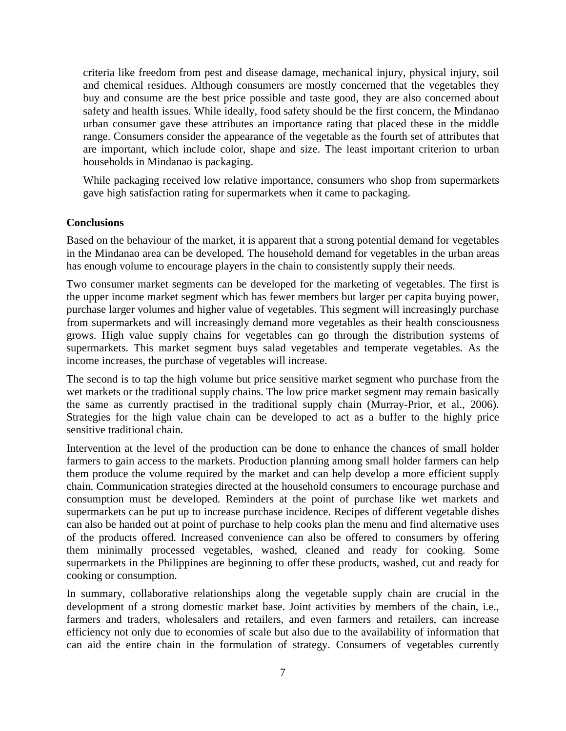criteria like freedom from pest and disease damage, mechanical injury, physical injury, soil and chemical residues. Although consumers are mostly concerned that the vegetables they buy and consume are the best price possible and taste good, they are also concerned about safety and health issues. While ideally, food safety should be the first concern, the Mindanao urban consumer gave these attributes an importance rating that placed these in the middle range. Consumers consider the appearance of the vegetable as the fourth set of attributes that are important, which include color, shape and size. The least important criterion to urban households in Mindanao is packaging.

While packaging received low relative importance, consumers who shop from supermarkets gave high satisfaction rating for supermarkets when it came to packaging.

#### **Conclusions**

Based on the behaviour of the market, it is apparent that a strong potential demand for vegetables in the Mindanao area can be developed. The household demand for vegetables in the urban areas has enough volume to encourage players in the chain to consistently supply their needs.

Two consumer market segments can be developed for the marketing of vegetables. The first is the upper income market segment which has fewer members but larger per capita buying power, purchase larger volumes and higher value of vegetables. This segment will increasingly purchase from supermarkets and will increasingly demand more vegetables as their health consciousness grows. High value supply chains for vegetables can go through the distribution systems of supermarkets. This market segment buys salad vegetables and temperate vegetables. As the income increases, the purchase of vegetables will increase.

The second is to tap the high volume but price sensitive market segment who purchase from the wet markets or the traditional supply chains. The low price market segment may remain basically the same as currently practised in the traditional supply chain (Murray-Prior, et al., 2006). Strategies for the high value chain can be developed to act as a buffer to the highly price sensitive traditional chain.

Intervention at the level of the production can be done to enhance the chances of small holder farmers to gain access to the markets. Production planning among small holder farmers can help them produce the volume required by the market and can help develop a more efficient supply chain. Communication strategies directed at the household consumers to encourage purchase and consumption must be developed. Reminders at the point of purchase like wet markets and supermarkets can be put up to increase purchase incidence. Recipes of different vegetable dishes can also be handed out at point of purchase to help cooks plan the menu and find alternative uses of the products offered. Increased convenience can also be offered to consumers by offering them minimally processed vegetables, washed, cleaned and ready for cooking. Some supermarkets in the Philippines are beginning to offer these products, washed, cut and ready for cooking or consumption.

In summary, collaborative relationships along the vegetable supply chain are crucial in the development of a strong domestic market base. Joint activities by members of the chain, i.e., farmers and traders, wholesalers and retailers, and even farmers and retailers, can increase efficiency not only due to economies of scale but also due to the availability of information that can aid the entire chain in the formulation of strategy. Consumers of vegetables currently